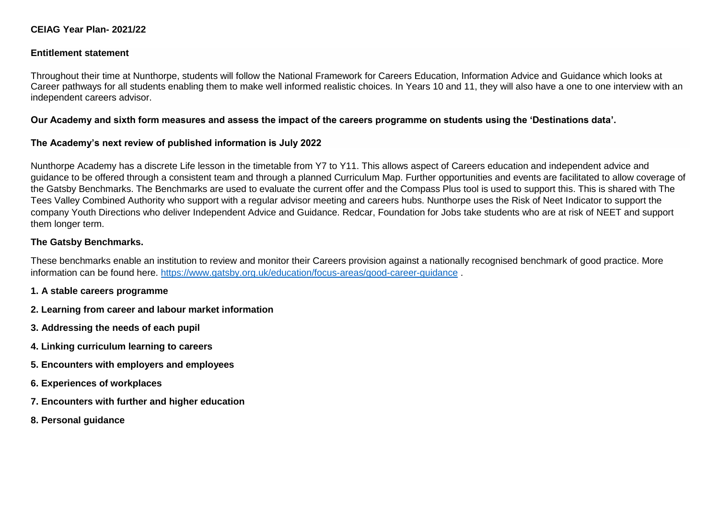# **CEIAG Year Plan- 2021/22**

#### **Entitlement statement**

Throughout their time at Nunthorpe, students will follow the National Framework for Careers Education, Information Advice and Guidance which looks at Career pathways for all students enabling them to make well informed realistic choices. In Years 10 and 11, they will also have a one to one interview with an independent careers advisor.

### **Our Academy and sixth form measures and assess the impact of the careers programme on students using the 'Destinations data'.**

## **The Academy's next review of published information is July 2022**

Nunthorpe Academy has a discrete Life lesson in the timetable from Y7 to Y11. This allows aspect of Careers education and independent advice and guidance to be offered through a consistent team and through a planned Curriculum Map. Further opportunities and events are facilitated to allow coverage of the Gatsby Benchmarks. The Benchmarks are used to evaluate the current offer and the Compass Plus tool is used to support this. This is shared with The Tees Valley Combined Authority who support with a regular advisor meeting and careers hubs. Nunthorpe uses the Risk of Neet Indicator to support the company Youth Directions who deliver Independent Advice and Guidance. Redcar, Foundation for Jobs take students who are at risk of NEET and support them longer term.

## **The Gatsby Benchmarks.**

These benchmarks enable an institution to review and monitor their Careers provision against a nationally recognised benchmark of good practice. More information can be found here.<https://www.gatsby.org.uk/education/focus-areas/good-career-guidance>

#### **1. A stable careers programme**

- **2. Learning from career and labour market information**
- **3. Addressing the needs of each pupil**
- **4. Linking curriculum learning to careers**
- **5. Encounters with employers and employees**
- **6. Experiences of workplaces**
- **7. Encounters with further and higher education**
- **8. Personal guidance**